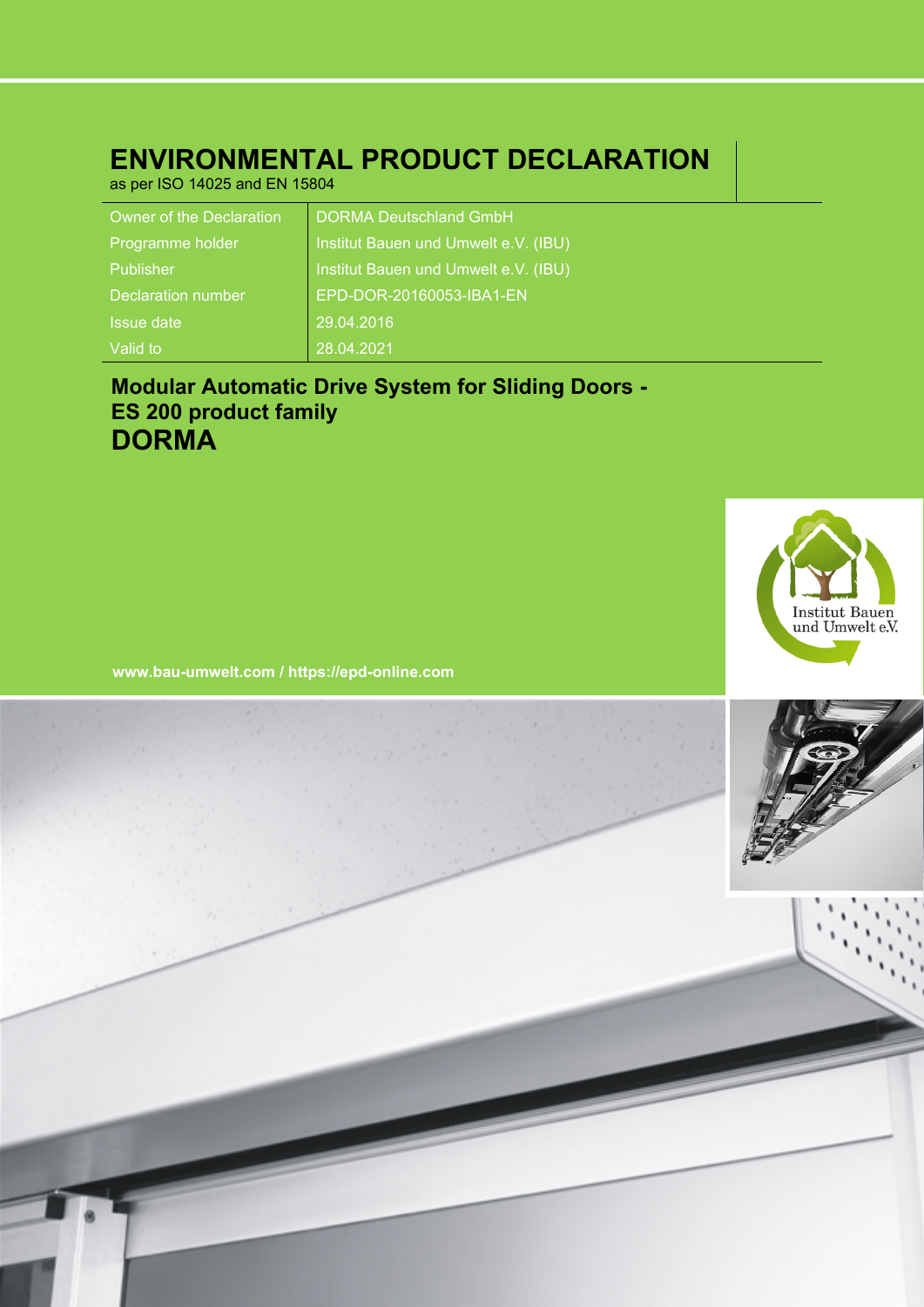# **ENVIRONMENTAL PRODUCT DECLARATION**

as per ISO 14025 and EN 15804

| Owner of the Declaration  | <b>DORMA Deutschland GmbH</b>        |
|---------------------------|--------------------------------------|
| Programme holder          | Institut Bauen und Umwelt e.V. (IBU) |
| Publisher                 | Institut Bauen und Umwelt e.V. (IBU) |
| <b>Declaration number</b> | EPD-DOR-20160053-IBA1-EN             |
| Issue date                | 29.04.2016                           |
| Valid to                  | 28.04.2021                           |

# **Modular Automatic Drive System for Sliding Doors - ES 200 product family DORMA**



**www.bau-umwelt.com / https://epd-online.com**

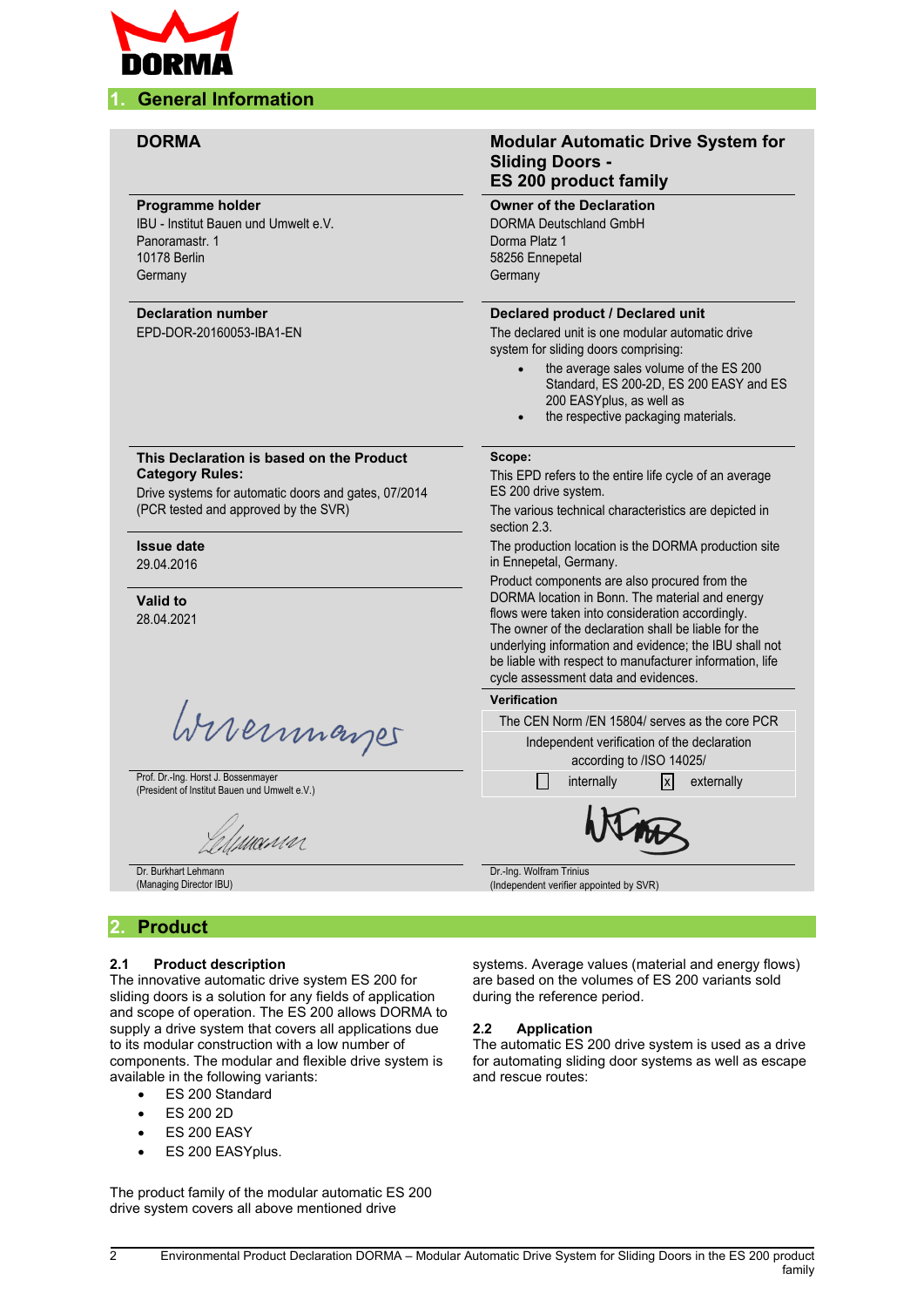

#### **DORMA Modular Automatic Drive System for Sliding Doors - ES 200 product family Owner of the Declaration Programme holder** IBU - Institut Bauen und Umwelt e.V. DORMA Deutschland GmbH Panoramastr. 1 Dorma Platz 1 10178 Berlin 58256 Ennepetal **Germany Germany Declaration number Declared product / Declared unit** EPD-DOR-20160053-IBA1-EN The declared unit is one modular automatic drive system for sliding doors comprising: the average sales volume of the ES 200 Standard, ES 200-2D, ES 200 EASY and ES 200 EASYplus, as well as the respective packaging materials. **This Declaration is based on the Product Scope: Category Rules:** This EPD refers to the entire life cycle of an average Drive systems for automatic doors and gates, 07/2014 ES 200 drive system. (PCR tested and approved by the SVR) The various technical characteristics are depicted in section 2.3. **Issue date** The production location is the DORMA production site 29.04.2016 in Ennepetal, Germany. Product components are also procured from the DORMA location in Bonn. The material and energy **Valid to** flows were taken into consideration accordingly. 28.04.2021 The owner of the declaration shall be liable for the underlying information and evidence; the IBU shall not be liable with respect to manufacturer information, life cycle assessment data and evidences. **Verification** Wireinmarger The CEN Norm /EN 15804/ serves as the core PCR Independent verification of the declaration according to /ISO 14025/ Prof. Dr.-Ing. Horst J. Bossenmayer Prof. Dr.-Ing. Horst J. Bossenmayer<br>(President of Institut Bauen und Umwelt e.V.) internally internally internally internally externally umun Dr. Burkhart Lehmann Dr.-Ing. Wolfram Trinius (Managing Director IBU) (Independent verifier appointed by SVR)

### **2. Product**

#### **2.1 Product description**

The innovative automatic drive system ES 200 for sliding doors is a solution for any fields of application and scope of operation. The ES 200 allows DORMA to supply a drive system that covers all applications due to its modular construction with a low number of components. The modular and flexible drive system is available in the following variants:

- ES 200 Standard
- ES 200 2D
- ES 200 EASY
- ES 200 EASYplus.

The product family of the modular automatic ES 200 drive system covers all above mentioned drive

systems. Average values (material and energy flows) are based on the volumes of ES 200 variants sold during the reference period.

#### **2.2 Application**

The automatic ES 200 drive system is used as a drive for automating sliding door systems as well as escape and rescue routes: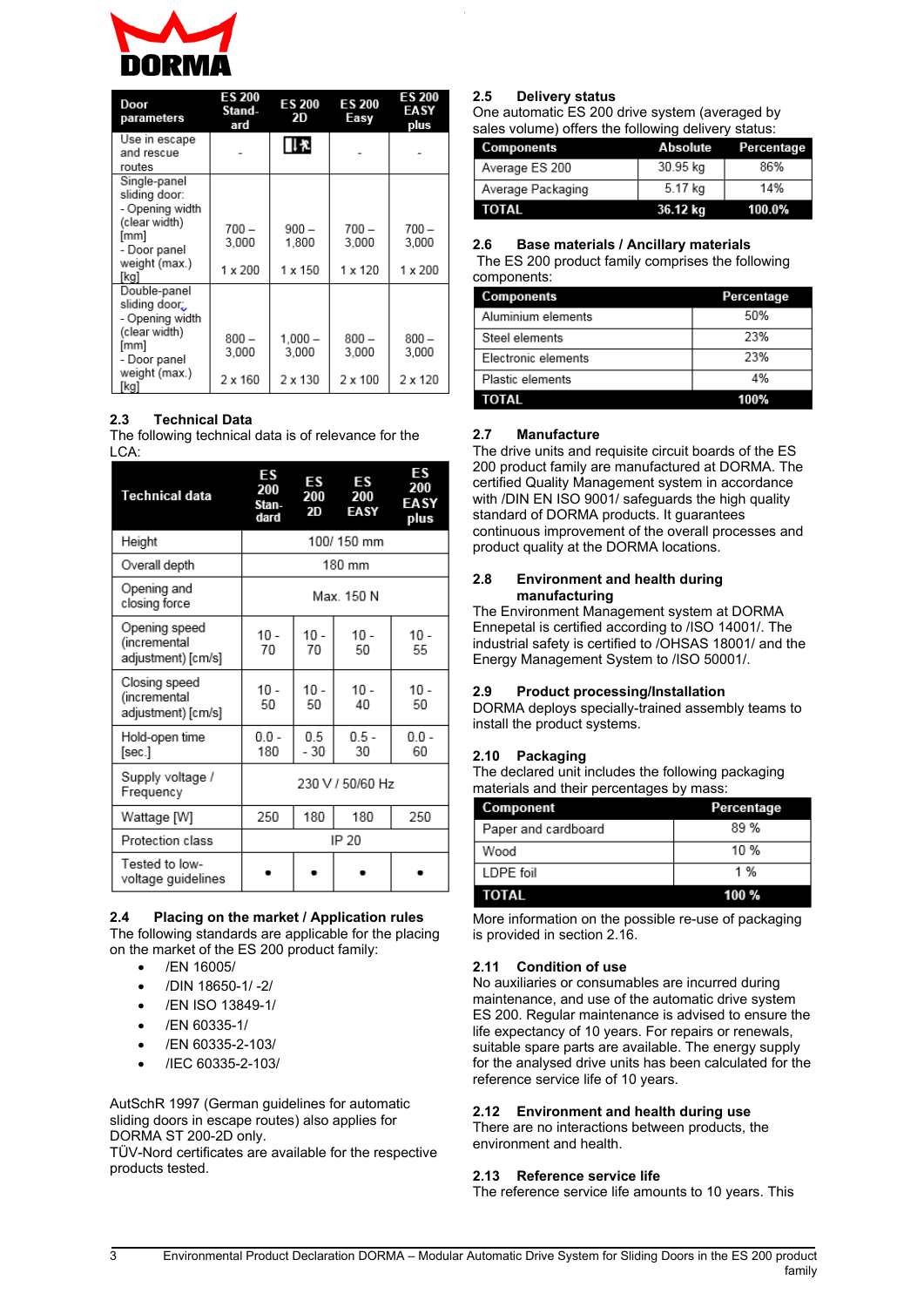

| Door<br>parameters                               | <b>ES 200</b><br>Stand-<br>ard | <b>ES 200</b><br>2D | <b>ES 200</b><br>Easy | ES 200<br>EASY<br>plus |
|--------------------------------------------------|--------------------------------|---------------------|-----------------------|------------------------|
| Use in escape<br>and rescue<br>routes            |                                | 日を                  |                       |                        |
| Single-panel<br>sliding door:<br>- Opening width |                                |                     |                       |                        |
| (clear width)<br>[mm]<br>- Door panel            | $700 -$<br>3.000               | 900 –<br>1,800      | $700 -$<br>3,000      | $700 -$<br>3.000       |
| weight (max.)<br>[kg]                            | 1 x 200                        | $1 \times 150$      | $1 \times 120$        | $1 \times 200$         |
| Double-panel<br>sliding door:<br>- Opening width |                                |                     |                       |                        |
| (clear width)<br>[mm]<br>- Door panel            | $800 -$<br>3.000               | $1.000 -$<br>3.000  | $800 -$<br>3.000      | $800 -$<br>3.000       |
| weight (max.)<br>[ka]                            | $2 \times 160$                 | $2 \times 130$      | $2 \times 100$        | $2 \times 120$         |

#### **2.3 Technical Data**

The following technical data is of relevance for the LCA:

| <b>Technical data</b>                               | ES<br>200<br>Stan-<br>dard | FS<br>200<br>2D | ΕS<br>200<br><b>EASY</b> | ΕS<br>200<br>EASY<br>plus |
|-----------------------------------------------------|----------------------------|-----------------|--------------------------|---------------------------|
| Height                                              |                            |                 | 100/150 mm               |                           |
| Overall depth                                       |                            |                 | 180 mm                   |                           |
| Opening and<br>closing force                        |                            | Max. 150 N      |                          |                           |
| Opening speed<br>(incremental<br>adjustment) [cm/s] | $10 -$<br>70               | $10 -$<br>70    | $10 -$<br>50             | $10 -$<br>55              |
| Closing speed<br>(incremental<br>adjustment) [cm/s] | $10 -$<br>50               | $10 -$<br>50    | $10 -$<br>40             | $10 -$<br>50              |
| Hold-open time<br>[sec.]                            | $0.0 -$<br>180             | 0.5<br>- 30     | $0.5 -$<br>30            | $0.0 -$<br>60             |
| Supply voltage /<br>Frequency                       | 230 V / 50/60 Hz           |                 |                          |                           |
| Wattage [W]                                         | 250                        | 180             | 180                      | 250                       |
| Protection class                                    | IP 20                      |                 |                          |                           |
| Tested to low-<br>voltage guidelines                |                            |                 |                          |                           |

#### **2.4 Placing on the market / Application rules** The following standards are applicable for the placing on the market of the ES 200 product family:

- /EN 16005/
- /DIN 18650-1/ -2/
- /EN ISO 13849-1/
- /EN 60335-1/
- /EN 60335-2-103/
- /IEC 60335-2-103/

AutSchR 1997 (German guidelines for automatic sliding doors in escape routes) also applies for DORMA ST 200-2D only.

TÜV-Nord certificates are available for the respective products tested.

#### **2.5 Delivery status**

One automatic ES 200 drive system (averaged by sales volume) offers the following delivery status:

| Components        | Absolute | Percentage |
|-------------------|----------|------------|
| Average ES 200    | 30.95 kg | 86%        |
| Average Packaging | 5.17 kg  | 14%        |
| TOTAL             | 36.12 kg | 100.0%     |

#### **2.6 Base materials / Ancillary materials**

The ES 200 product family comprises the following components:

| <b>Components</b>   | Percentage |
|---------------------|------------|
| Aluminium elements  | 50%        |
| Steel elements      | 23%        |
| Electronic elements | 23%        |
| Plastic elements    | 4%         |
| TOTAL               | 100%       |

#### **2.7 Manufacture**

The drive units and requisite circuit boards of the ES 200 product family are manufactured at DORMA. The certified Quality Management system in accordance with /DIN EN ISO 9001/ safeguards the high quality standard of DORMA products. It guarantees continuous improvement of the overall processes and product quality at the DORMA locations.

#### **2.8 Environment and health during manufacturing**

The Environment Management system at DORMA Ennepetal is certified according to /ISO 14001/. The industrial safety is certified to /OHSAS 18001/ and the Energy Management System to /ISO 50001/.

#### **2.9 Product processing/Installation**

DORMA deploys specially-trained assembly teams to install the product systems.

#### **2.10 Packaging**

The declared unit includes the following packaging materials and their percentages by mass:

| Component           | Percentage |
|---------------------|------------|
| Paper and cardboard | 89 %       |
| Wood                | 10%        |
| LDPE foil           | 1 %        |
|                     |            |

More information on the possible re-use of packaging is provided in section 2.16.

#### **2.11 Condition of use**

No auxiliaries or consumables are incurred during maintenance, and use of the automatic drive system ES 200. Regular maintenance is advised to ensure the life expectancy of 10 years. For repairs or renewals, suitable spare parts are available. The energy supply for the analysed drive units has been calculated for the reference service life of 10 years.

#### **2.12 Environment and health during use**

There are no interactions between products, the environment and health.

#### **2.13 Reference service life**

The reference service life amounts to 10 years. This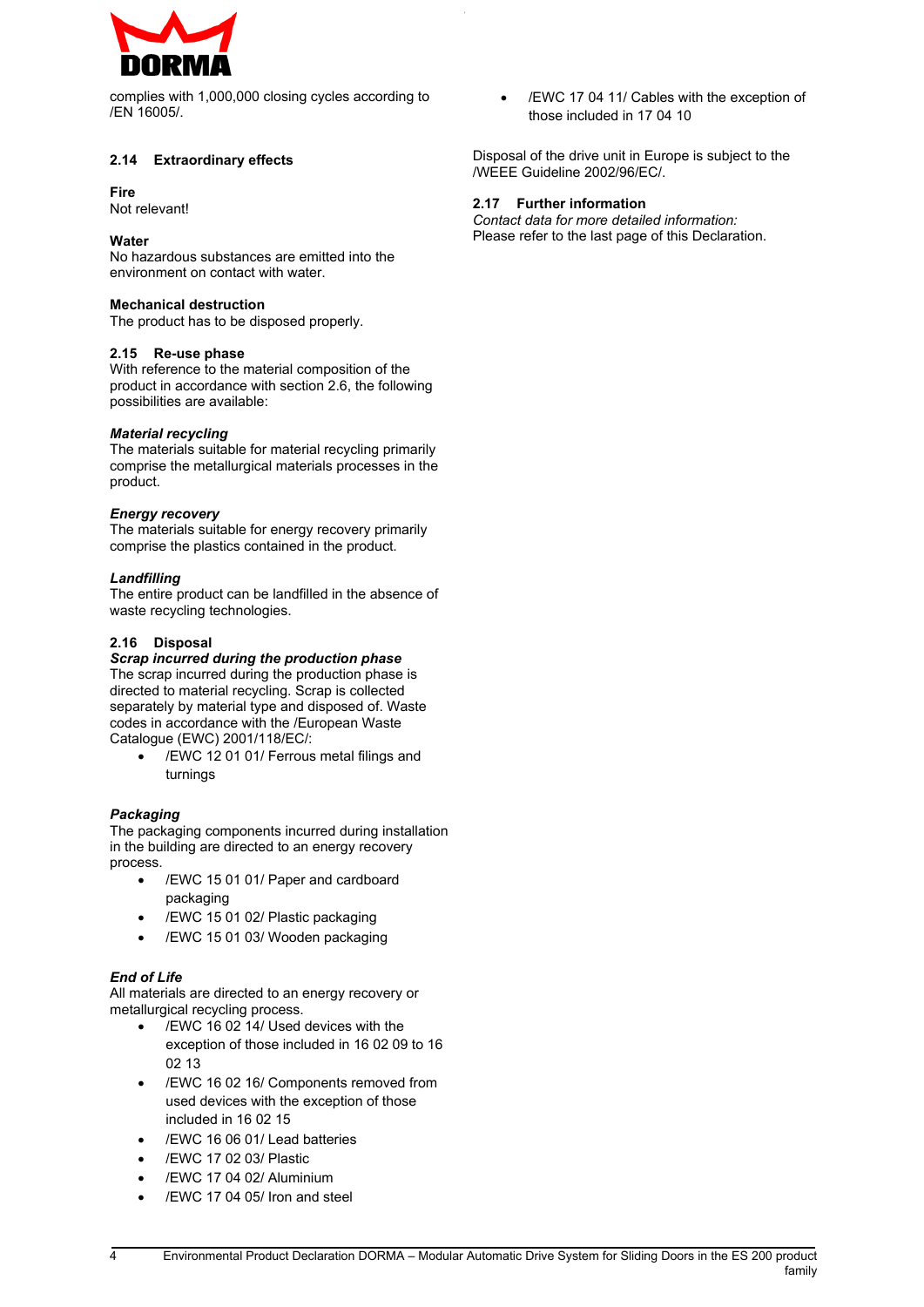

complies with 1,000,000 closing cycles according to /EN 16005/.

#### **2.14 Extraordinary effects**

#### **Fire**

Not relevant!

#### **Water**

No hazardous substances are emitted into the environment on contact with water.

#### **Mechanical destruction**

The product has to be disposed properly.

#### **2.15 Re-use phase**

With reference to the material composition of the product in accordance with section 2.6, the following possibilities are available:

#### *Material recycling*

The materials suitable for material recycling primarily comprise the metallurgical materials processes in the product.

#### *Energy recovery*

The materials suitable for energy recovery primarily comprise the plastics contained in the product.

#### *Landfilling*

The entire product can be landfilled in the absence of waste recycling technologies.

#### **2.16 Disposal**

#### *Scrap incurred during the production phase* The scrap incurred during the production phase is

directed to material recycling. Scrap is collected separately by material type and disposed of. Waste codes in accordance with the /European Waste Catalogue (EWC) 2001/118/EC/:

 /EWC 12 01 01/ Ferrous metal filings and turnings

#### *Packaging*

The packaging components incurred during installation in the building are directed to an energy recovery process.

- /EWC 15 01 01/ Paper and cardboard packaging
- /EWC 15 01 02/ Plastic packaging
- /EWC 15 01 03/ Wooden packaging

#### *End of Life*

All materials are directed to an energy recovery or metallurgical recycling process.

- /EWC 16 02 14/ Used devices with the exception of those included in 16 02 09 to 16 02 13
- /EWC 16 02 16/ Components removed from used devices with the exception of those included in 16 02 15
- /EWC 16 06 01/ Lead batteries
- /EWC 17 02 03/ Plastic
- /EWC 17 04 02/ Aluminium
- /EWC 17 04 05/ Iron and steel

 /EWC 17 04 11/ Cables with the exception of those included in 17 04 10

Disposal of the drive unit in Europe is subject to the /WEEE Guideline 2002/96/EC/.

#### **2.17 Further information**

*Contact data for more detailed information:* Please refer to the last page of this Declaration.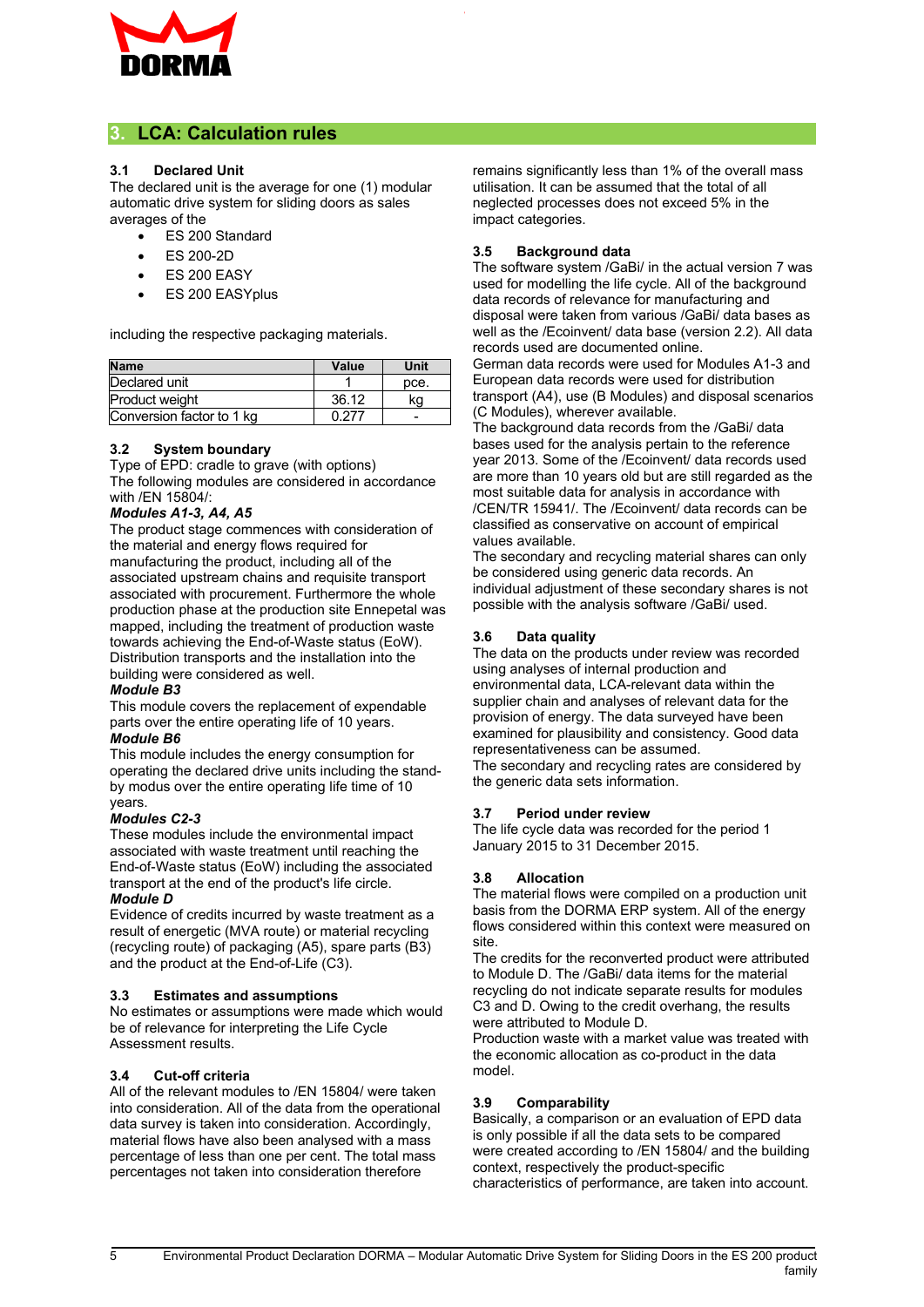

### **3. LCA: Calculation rules**

#### **3.1 Declared Unit**

The declared unit is the average for one (1) modular automatic drive system for sliding doors as sales averages of the

- ES 200 Standard
- ES 200-2D
- ES 200 EASY
- ES 200 EASYplus

including the respective packaging materials.

| <b>Name</b>               | Value | Unit |
|---------------------------|-------|------|
| Declared unit             |       | pce. |
| Product weight            | 36.12 | ٢a   |
| Conversion factor to 1 kg | በ 277 |      |

#### **3.2 System boundary**

Type of EPD: cradle to grave (with options) The following modules are considered in accordance with /EN 15804/:

#### *Modules A1-3, A4, A5*

The product stage commences with consideration of the material and energy flows required for manufacturing the product, including all of the associated upstream chains and requisite transport associated with procurement. Furthermore the whole production phase at the production site Ennepetal was mapped, including the treatment of production waste towards achieving the End-of-Waste status (EoW). Distribution transports and the installation into the building were considered as well.

#### *Module B3*

This module covers the replacement of expendable parts over the entire operating life of 10 years. *Module B6*

This module includes the energy consumption for operating the declared drive units including the standby modus over the entire operating life time of 10 years.

#### *Modules C2-3*

These modules include the environmental impact associated with waste treatment until reaching the End-of-Waste status (EoW) including the associated transport at the end of the product's life circle. *Module D*

Evidence of credits incurred by waste treatment as a result of energetic (MVA route) or material recycling (recycling route) of packaging (A5), spare parts (B3) and the product at the End-of-Life (C3).

#### **3.3 Estimates and assumptions**

No estimates or assumptions were made which would be of relevance for interpreting the Life Cycle Assessment results.

#### **3.4 Cut-off criteria**

All of the relevant modules to /EN 15804/ were taken into consideration. All of the data from the operational data survey is taken into consideration. Accordingly, material flows have also been analysed with a mass percentage of less than one per cent. The total mass percentages not taken into consideration therefore

remains significantly less than 1% of the overall mass utilisation. It can be assumed that the total of all neglected processes does not exceed 5% in the impact categories.

#### **3.5 Background data**

The software system /GaBi/ in the actual version 7 was used for modelling the life cycle. All of the background data records of relevance for manufacturing and disposal were taken from various /GaBi/ data bases as well as the /Ecoinvent/ data base (version 2.2). All data records used are documented online.

German data records were used for Modules A1-3 and European data records were used for distribution transport (A4), use (B Modules) and disposal scenarios (C Modules), wherever available.

The background data records from the /GaBi/ data bases used for the analysis pertain to the reference year 2013. Some of the /Ecoinvent/ data records used are more than 10 years old but are still regarded as the most suitable data for analysis in accordance with /CEN/TR 15941/. The /Ecoinvent/ data records can be classified as conservative on account of empirical values available.

The secondary and recycling material shares can only be considered using generic data records. An individual adjustment of these secondary shares is not possible with the analysis software /GaBi/ used.

#### **3.6 Data quality**

The data on the products under review was recorded using analyses of internal production and environmental data, LCA-relevant data within the supplier chain and analyses of relevant data for the provision of energy. The data surveyed have been examined for plausibility and consistency. Good data representativeness can be assumed.

The secondary and recycling rates are considered by the generic data sets information.

#### **3.7 Period under review**

The life cycle data was recorded for the period 1 January 2015 to 31 December 2015.

#### **3.8 Allocation**

The material flows were compiled on a production unit basis from the DORMA ERP system. All of the energy flows considered within this context were measured on site.

The credits for the reconverted product were attributed to Module D. The /GaBi/ data items for the material recycling do not indicate separate results for modules C3 and D. Owing to the credit overhang, the results were attributed to Module D.

Production waste with a market value was treated with the economic allocation as co-product in the data model.

#### **3.9 Comparability**

Basically, a comparison or an evaluation of EPD data is only possible if all the data sets to be compared were created according to /EN 15804/ and the building context, respectively the product-specific characteristics of performance, are taken into account.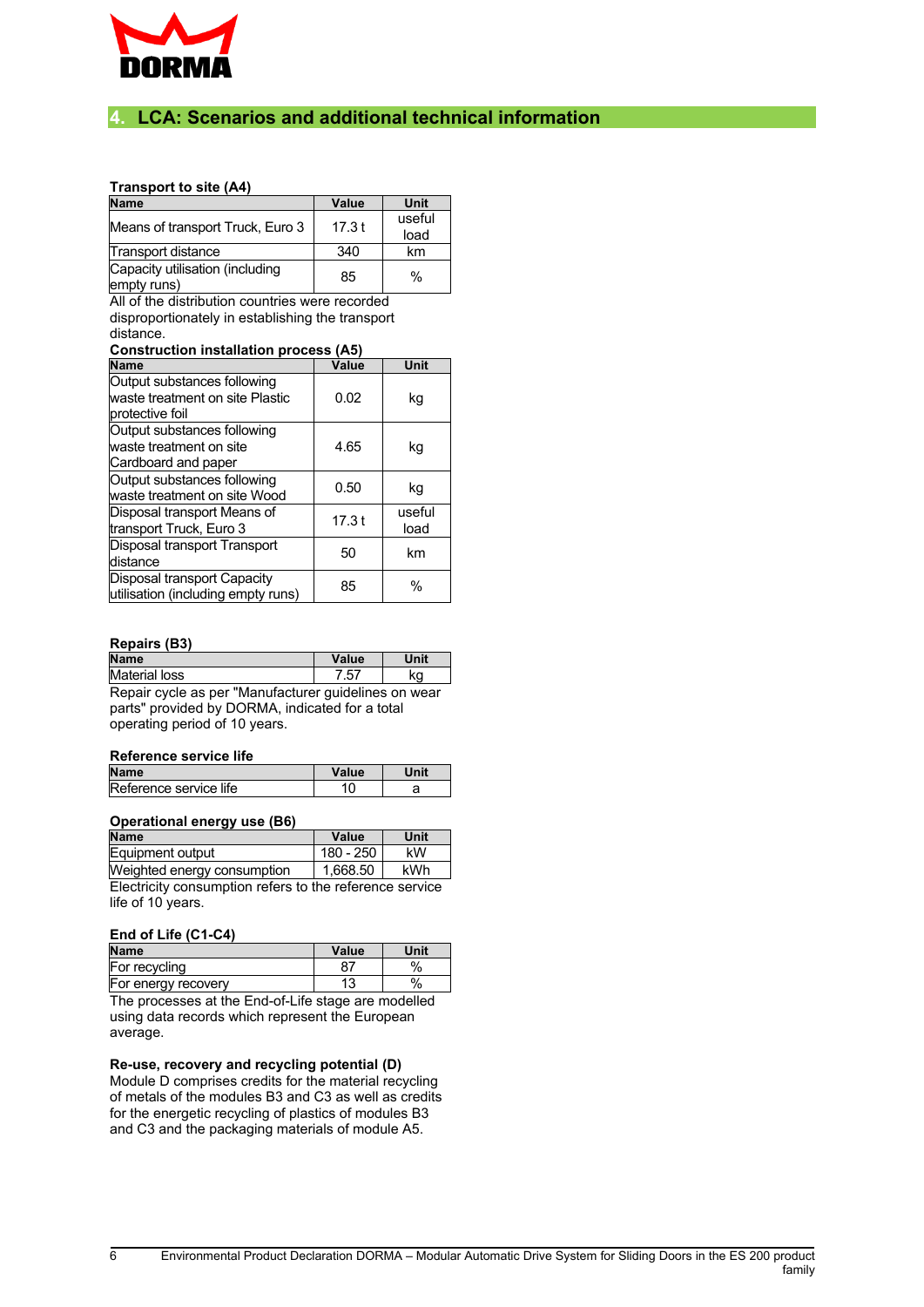

#### **4. LCA: Scenarios and additional technical information**

#### **Transport to site (A4)**

| <b>Name</b>                                    | Value | Unit   |
|------------------------------------------------|-------|--------|
| Means of transport Truck, Euro 3               | 17.3t | useful |
|                                                |       | load   |
| Transport distance                             | 340   | km     |
| Capacity utilisation (including<br>empty runs) | 85    | %      |

All of the distribution countries were recorded disproportionately in establishing the transport distance.

#### **Construction installation process (A5)**

| Name                                                                               | Value | Unit           |
|------------------------------------------------------------------------------------|-------|----------------|
| Output substances following<br>lwaste treatment on site Plastic<br>protective foil | 0.02  | kg             |
| Output substances following<br>lwaste treatment on site<br>Cardboard and paper     | 4.65  | kg             |
| Output substances following<br>waste treatment on site Wood                        | 0.50  | kg             |
| Disposal transport Means of<br>transport Truck, Euro 3                             | 17.3t | useful<br>load |
| Disposal transport Transport<br>ldistance                                          | 50    | km             |
| Disposal transport Capacity<br>utilisation (including empty runs)                  | 85    | $\%$           |

#### **Repairs (B3)**

| <b>Name</b>    | Value      | Unit |
|----------------|------------|------|
| Material loss  | 57<br>ا ب. | κa   |
| ----<br>$\sim$ | .          |      |

Repair cycle as per "Manufacturer guidelines on wear parts" provided by DORMA, indicated for a total operating period of 10 years.

#### **Reference service life**

| <b>Name</b>            | alue/ |  |
|------------------------|-------|--|
| Reference service life |       |  |
|                        |       |  |

#### **Operational energy use (B6)**

**Name Value Unit** Equipment output  $\vert$  180 - 250 kW Weighted energy consumption  $\,$  | 1,668.50 | kWh Electricity consumption refers to the reference service life of 10 years.

#### **End of Life (C1-C4)**

| <b>Name</b>                                         | Value | Unit |
|-----------------------------------------------------|-------|------|
| For recycling                                       |       | $\%$ |
| For energy recovery                                 |       | $\%$ |
| The presences at the End of Life stage are modelled |       |      |

The processes at the End-of-Life stage are modelled using data records which represent the European average.

#### **Re-use, recovery and recycling potential (D)**

Module D comprises credits for the material recycling of metals of the modules B3 and C3 as well as credits for the energetic recycling of plastics of modules B3 and C3 and the packaging materials of module A5.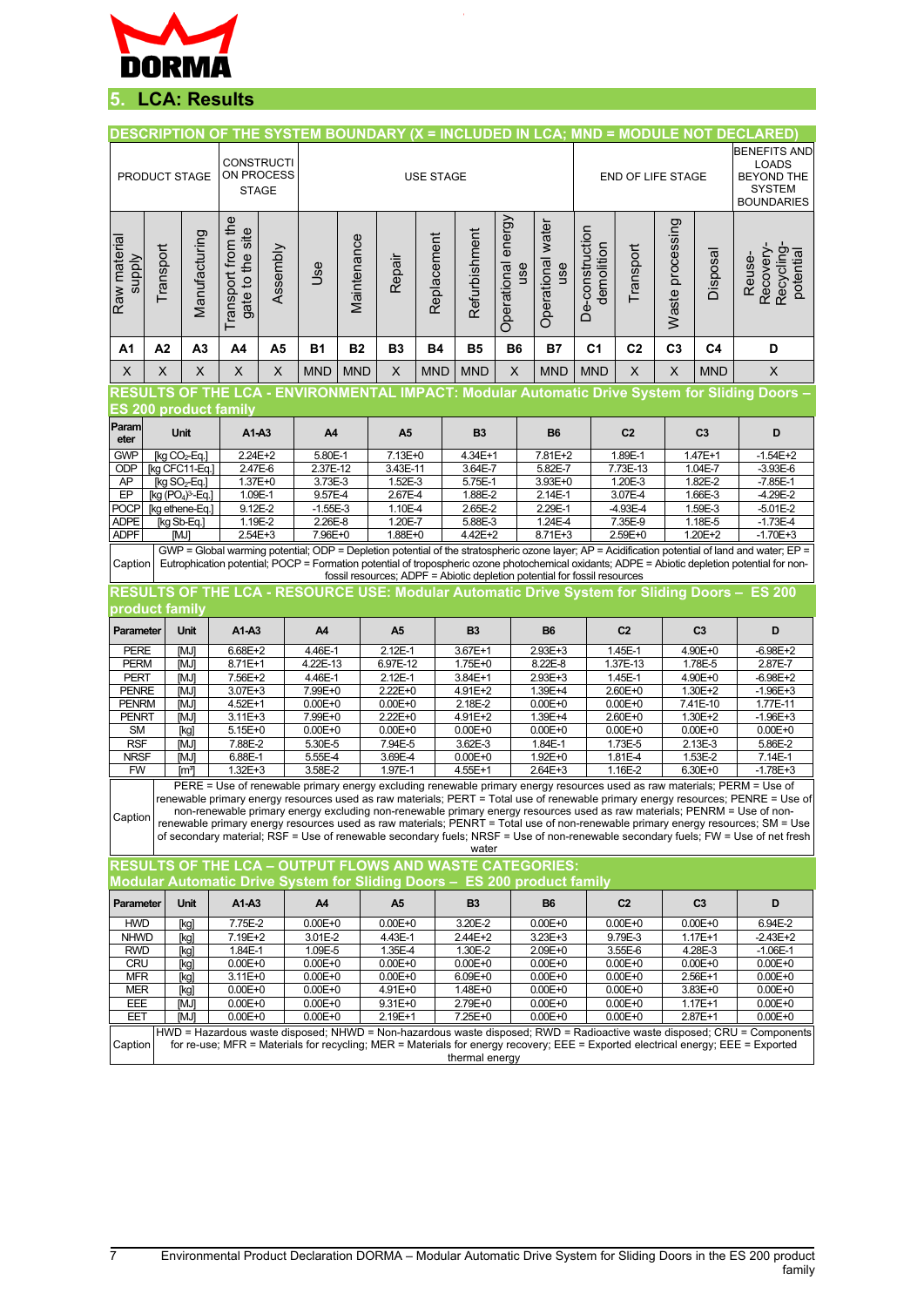

# **5. LCA: Results**

|                                                                                                                                                                                                                                                                                                                                                                                                                                                                                                                                                                                                                                                                                                                                                        |                                   |                |                                                 |                        |                        |                                                |                         |             |                                                                           |                              |                            |                               |                            |                        |                        | DESCRIPTION OF THE SYSTEM BOUNDARY (X = INCLUDED IN LCA; MND = MODULE NOT DECLARED)                                                                                                                                                                                                                                                                                                                |
|--------------------------------------------------------------------------------------------------------------------------------------------------------------------------------------------------------------------------------------------------------------------------------------------------------------------------------------------------------------------------------------------------------------------------------------------------------------------------------------------------------------------------------------------------------------------------------------------------------------------------------------------------------------------------------------------------------------------------------------------------------|-----------------------------------|----------------|-------------------------------------------------|------------------------|------------------------|------------------------------------------------|-------------------------|-------------|---------------------------------------------------------------------------|------------------------------|----------------------------|-------------------------------|----------------------------|------------------------|------------------------|----------------------------------------------------------------------------------------------------------------------------------------------------------------------------------------------------------------------------------------------------------------------------------------------------------------------------------------------------------------------------------------------------|
| PRODUCT STAGE                                                                                                                                                                                                                                                                                                                                                                                                                                                                                                                                                                                                                                                                                                                                          |                                   |                | <b>CONSTRUCTI</b><br>ON PROCESS<br><b>STAGE</b> |                        | <b>USE STAGE</b>       |                                                |                         |             |                                                                           |                              |                            | END OF LIFE STAGE             |                            |                        |                        | <b>BENEFITS AND</b><br><b>LOADS</b><br><b>BEYOND THE</b><br><b>SYSTEM</b><br><b>BOUNDARIES</b>                                                                                                                                                                                                                                                                                                     |
| Raw material<br><b>Alddns</b>                                                                                                                                                                                                                                                                                                                                                                                                                                                                                                                                                                                                                                                                                                                          | Transport                         | Manufacturing  | Transport from the<br>gate to the site          | Assembly               | <b>Jse</b>             | Maintenance                                    | Repair                  | Replacement | Refurbishment                                                             | energy<br>Operational<br>use | Operational water<br>use   | De-construction<br>demolition | Transport                  | Waste processing       | Disposal               | Recovery-<br>Recycling<br>potential<br>Reuse-                                                                                                                                                                                                                                                                                                                                                      |
| A1                                                                                                                                                                                                                                                                                                                                                                                                                                                                                                                                                                                                                                                                                                                                                     | A2                                | A <sub>3</sub> | A4                                              | A <sub>5</sub>         | B1                     | <b>B2</b>                                      | <b>B3</b>               | <b>B4</b>   | <b>B5</b>                                                                 | <b>B6</b>                    | <b>B7</b>                  | C <sub>1</sub>                | C <sub>2</sub>             | C <sub>3</sub>         | C <sub>4</sub>         | D                                                                                                                                                                                                                                                                                                                                                                                                  |
| X                                                                                                                                                                                                                                                                                                                                                                                                                                                                                                                                                                                                                                                                                                                                                      | X                                 | X              | X                                               | X                      | <b>MND</b>             | <b>MND</b>                                     | X                       | <b>MND</b>  | <b>MND</b>                                                                | X                            | <b>MND</b>                 | <b>MND</b>                    | X                          | $\pmb{\mathsf{X}}$     | <b>MND</b>             | $\boldsymbol{\mathsf{X}}$                                                                                                                                                                                                                                                                                                                                                                          |
|                                                                                                                                                                                                                                                                                                                                                                                                                                                                                                                                                                                                                                                                                                                                                        |                                   |                |                                                 |                        |                        |                                                |                         |             |                                                                           |                              |                            |                               |                            |                        |                        | RESULTS OF THE LCA - ENVIRONMENTAL IMPACT: Modular Automatic Drive System for Sliding Doors –                                                                                                                                                                                                                                                                                                      |
| <b>ES 200 product family</b>                                                                                                                                                                                                                                                                                                                                                                                                                                                                                                                                                                                                                                                                                                                           |                                   |                |                                                 |                        |                        |                                                |                         |             |                                                                           |                              |                            |                               |                            |                        |                        |                                                                                                                                                                                                                                                                                                                                                                                                    |
| Param<br>eter                                                                                                                                                                                                                                                                                                                                                                                                                                                                                                                                                                                                                                                                                                                                          | <b>Unit</b>                       |                | A1-A3                                           |                        | A4                     |                                                | A <sub>5</sub>          |             | <b>B3</b>                                                                 |                              |                            | <b>B6</b>                     |                            |                        | C <sub>3</sub>         | D                                                                                                                                                                                                                                                                                                                                                                                                  |
| <b>GWP</b><br><b>ODP</b>                                                                                                                                                                                                                                                                                                                                                                                                                                                                                                                                                                                                                                                                                                                               | [kg $CO2$ -Eq.]<br>[kg CFC11-Eq.] |                | 2.24E+2<br>2.47E-6                              |                        | 5.80E-1<br>2.37E-12    |                                                | $7.13E + 0$<br>3.43E-11 |             | 4.34E+1<br>3.64E-7                                                        |                              | 7.81E+2<br>5.82E-7         |                               | 1.89E-1<br>7.73E-13        | 1.47E+1<br>1.04E-7     |                        | $-1.54E+2$<br>$-3.93E-6$                                                                                                                                                                                                                                                                                                                                                                           |
| AP                                                                                                                                                                                                                                                                                                                                                                                                                                                                                                                                                                                                                                                                                                                                                     | $[kg SO2-Eq.]$                    |                | $1.37E + 0$                                     |                        | 3.73E-3                |                                                | 1.52E-3                 |             |                                                                           | 5.75E-1                      |                            | 3.93E+0                       |                            | 1.82E-2                |                        | $-7.85E-1$                                                                                                                                                                                                                                                                                                                                                                                         |
| EP                                                                                                                                                                                                                                                                                                                                                                                                                                                                                                                                                                                                                                                                                                                                                     | [kg $(PO4)3$ -Eq.]                |                | 1.09E-1                                         |                        | 9.57E-4                |                                                | 2.67E-4                 |             |                                                                           | 1.88E-2                      |                            |                               | 1.20E-3<br>3.07E-4         | 1.66E-3                |                        | $-4.29E - 2$                                                                                                                                                                                                                                                                                                                                                                                       |
| POCP                                                                                                                                                                                                                                                                                                                                                                                                                                                                                                                                                                                                                                                                                                                                                   | [kg ethene-Eq.]                   |                | 9.12E-2                                         |                        | $-1.55E-3$             |                                                | 1.10E-4                 |             | 2.65E-2                                                                   | 2.29E-1                      |                            | $-4.93E - 4$                  |                            | 1.59E-3                |                        | $-5.01E-2$                                                                                                                                                                                                                                                                                                                                                                                         |
| <b>ADPE</b><br><b>ADPF</b>                                                                                                                                                                                                                                                                                                                                                                                                                                                                                                                                                                                                                                                                                                                             | [kg Sb-Eq.]<br>[MJ]               |                | 1.19E-2<br>2.54E+3                              |                        | 2.26E-8<br>7.96E+0     |                                                | 1.20E-7<br>$1.88E + 0$  |             | 5.88E-3<br>4.42E+2                                                        |                              | 1.24E-4<br>$8.71E + 3$     |                               | 7.35E-9<br>2.59E+0         |                        | 1.18E-5<br>$1.20E + 2$ | $-1.73E - 4$<br>$-1.70E + 3$                                                                                                                                                                                                                                                                                                                                                                       |
| Caption                                                                                                                                                                                                                                                                                                                                                                                                                                                                                                                                                                                                                                                                                                                                                |                                   |                |                                                 |                        |                        |                                                |                         |             | fossil resources; ADPF = Abiotic depletion potential for fossil resources |                              |                            |                               |                            |                        |                        | GWP = Global warming potential; ODP = Depletion potential of the stratospheric ozone layer; AP = Acidification potential of land and water; EP =<br>Eutrophication potential; POCP = Formation potential of tropospheric ozone photochemical oxidants; ADPE = Abiotic depletion potential for non-<br>RESULTS OF THE LCA - RESOURCE USE: Modular Automatic Drive System for Sliding Doors - ES 200 |
| product family                                                                                                                                                                                                                                                                                                                                                                                                                                                                                                                                                                                                                                                                                                                                         |                                   |                |                                                 |                        |                        |                                                |                         |             |                                                                           |                              |                            |                               |                            |                        |                        |                                                                                                                                                                                                                                                                                                                                                                                                    |
| Parameter                                                                                                                                                                                                                                                                                                                                                                                                                                                                                                                                                                                                                                                                                                                                              |                                   | <b>Unit</b>    | A1-A3                                           |                        | A4                     |                                                | A <sub>5</sub>          |             | <b>B3</b>                                                                 |                              | <b>B6</b>                  |                               | C <sub>2</sub>             |                        | C <sub>3</sub>         | D                                                                                                                                                                                                                                                                                                                                                                                                  |
| <b>PERE</b><br><b>PERM</b>                                                                                                                                                                                                                                                                                                                                                                                                                                                                                                                                                                                                                                                                                                                             |                                   | [MJ]<br>[MJ]   | 6.68E+2<br>$8.71E+1$                            |                        |                        | $2.12E - 1$<br>4.46E-1<br>4.22E-13<br>6.97E-12 |                         |             | 3.67E+1<br>1.75E+0                                                        |                              | 2.93E+3<br>8.22E-8         |                               | 1.45E-1<br>1.37E-13        |                        | $4.90E+0$<br>1.78E-5   | $-6.98E + 2$<br>2.87E-7                                                                                                                                                                                                                                                                                                                                                                            |
| <b>PERT</b>                                                                                                                                                                                                                                                                                                                                                                                                                                                                                                                                                                                                                                                                                                                                            |                                   | [MJ]           | 7.56E+2                                         |                        |                        | 4.46E-1<br>$2.12E-1$                           |                         |             | 3.84E+1                                                                   |                              | 2.93E+3                    |                               | $1.45E - 1$                | $4.90E+0$              |                        | $-6.98E+2$                                                                                                                                                                                                                                                                                                                                                                                         |
| <b>PENRE</b>                                                                                                                                                                                                                                                                                                                                                                                                                                                                                                                                                                                                                                                                                                                                           |                                   | [MJ]           | $3.07E + 3$                                     |                        | 7.99E+0                |                                                | 2.22E+0                 |             | 4.91E+2                                                                   |                              | 1.39E+4                    |                               | $2.60E + 0$                | $1.30E + 2$            |                        | $-1.96E + 3$                                                                                                                                                                                                                                                                                                                                                                                       |
| <b>PENRM</b>                                                                                                                                                                                                                                                                                                                                                                                                                                                                                                                                                                                                                                                                                                                                           |                                   | [MJ]           | 4.52E+1                                         |                        | $0.00E + 0$            |                                                | $0.00E + 0$             |             | $2.18E - 2$                                                               |                              | $0.00E + 0$                |                               | $0.00E + 0$                | 7.41E-10               |                        | 1.77E-11                                                                                                                                                                                                                                                                                                                                                                                           |
| <b>PENRT</b>                                                                                                                                                                                                                                                                                                                                                                                                                                                                                                                                                                                                                                                                                                                                           |                                   | [MJ]           | $3.11E + 3$                                     |                        | 7.99E+0                |                                                | 2.22E+0                 |             | 4.91E+2                                                                   |                              | 1.39E+4                    |                               | 2.60E+0                    | 1.30E+2<br>$0.00E + 0$ |                        | $-1.96E + 3$                                                                                                                                                                                                                                                                                                                                                                                       |
| <b>SM</b><br><b>RSF</b>                                                                                                                                                                                                                                                                                                                                                                                                                                                                                                                                                                                                                                                                                                                                |                                   | [kg]<br>[MJ]   | $5.15E + 0$<br>7.88E-2                          |                        | $0.00E + 0$<br>5.30E-5 |                                                | $0.00E + 0$<br>7.94E-5  |             | $0.00E + 0$<br>3.62E-3                                                    |                              | $0.00E + 0$<br>1.84E-1     |                               | $0.00E + 0$<br>1.73E-5     |                        | 2.13E-3                | $0.00E + 0$<br>5.86E-2                                                                                                                                                                                                                                                                                                                                                                             |
| <b>NRSF</b>                                                                                                                                                                                                                                                                                                                                                                                                                                                                                                                                                                                                                                                                                                                                            |                                   | [MJ]           | 6.88E-1                                         |                        | 5.55E-4                | 3.69E-4                                        |                         |             | $0.00E + 0$                                                               | 1.92E+0                      |                            |                               | 1.81E-4                    |                        | 1.53E-2                | 7.14E-1                                                                                                                                                                                                                                                                                                                                                                                            |
| <b>FW</b>                                                                                                                                                                                                                                                                                                                                                                                                                                                                                                                                                                                                                                                                                                                                              | [mª]                              |                |                                                 | $1.32E + 3$<br>3.58E-2 |                        | 1.97E-1                                        |                         |             | 4.55E+1                                                                   | 2.64E+3                      |                            |                               | 1.16E-2                    |                        | 6.30E+0                | $-1.78E + 3$                                                                                                                                                                                                                                                                                                                                                                                       |
| PERE = Use of renewable primary energy excluding renewable primary energy resources used as raw materials; PERM = Use of<br>renewable primary energy resources used as raw materials; PERT = Total use of renewable primary energy resources; PENRE = Use of<br>non-renewable primary energy excluding non-renewable primary energy resources used as raw materials; PENRM = Use of non-<br>Caption<br>renewable primary energy resources used as raw materials; PENRT = Total use of non-renewable primary energy resources; SM = Use<br>of secondary material; RSF = Use of renewable secondary fuels; NRSF = Use of non-renewable secondary fuels; FW = Use of net fresh<br>water<br><b>RESULTS OF THE LCA - OUTPUT FLOWS AND WASTE CATEGORIES:</b> |                                   |                |                                                 |                        |                        |                                                |                         |             |                                                                           |                              |                            |                               |                            |                        |                        |                                                                                                                                                                                                                                                                                                                                                                                                    |
|                                                                                                                                                                                                                                                                                                                                                                                                                                                                                                                                                                                                                                                                                                                                                        |                                   |                |                                                 |                        |                        |                                                |                         |             | Modular Automatic Drive System for Sliding Doors –  ES 200 product family |                              |                            |                               |                            |                        |                        |                                                                                                                                                                                                                                                                                                                                                                                                    |
|                                                                                                                                                                                                                                                                                                                                                                                                                                                                                                                                                                                                                                                                                                                                                        |                                   |                |                                                 |                        |                        |                                                |                         |             |                                                                           |                              |                            |                               |                            |                        |                        |                                                                                                                                                                                                                                                                                                                                                                                                    |
| <b>Parameter</b>                                                                                                                                                                                                                                                                                                                                                                                                                                                                                                                                                                                                                                                                                                                                       |                                   | <b>Unit</b>    | A1-A3                                           |                        | A4                     |                                                | A5                      |             | <b>B3</b>                                                                 |                              | <b>B6</b>                  |                               | C <sub>2</sub>             |                        | C <sub>3</sub>         | D                                                                                                                                                                                                                                                                                                                                                                                                  |
| <b>HWD</b>                                                                                                                                                                                                                                                                                                                                                                                                                                                                                                                                                                                                                                                                                                                                             |                                   | [kg]           | 7.75E-2                                         |                        | $0.00E + 0$            |                                                | $0.00E + 0$             |             | 3.20E-2                                                                   |                              | $0.00E + 0$                |                               | $0.00E + 0$                |                        | $0.00E + 0$            | 6.94E-2                                                                                                                                                                                                                                                                                                                                                                                            |
| <b>NHWD</b><br><b>RWD</b>                                                                                                                                                                                                                                                                                                                                                                                                                                                                                                                                                                                                                                                                                                                              |                                   | [kg]<br>[kg]   | 7.19E+2<br>1.84E-1                              |                        | 3.01E-2<br>1.09E-5     |                                                | 4.43E-1<br>1.35E-4      |             | 2.44E+2<br>1.30E-2                                                        |                              | 3.23E+3<br>2.09E+0         |                               | 9.79E-3<br>3.55E-6         |                        | $1.17E + 1$<br>4.28E-3 | $-2.43E+2$<br>$-1.06E-1$                                                                                                                                                                                                                                                                                                                                                                           |
| <b>CRU</b>                                                                                                                                                                                                                                                                                                                                                                                                                                                                                                                                                                                                                                                                                                                                             |                                   | [kg]           | $0.00E + 0$                                     |                        | $0.00E + 0$            |                                                | $0.00E + 0$             |             | $0.00E + 0$                                                               |                              | $0.00E + 0$                |                               | $0.00E + 0$                |                        | $0.00E + 0$            | $0.00E + 0$                                                                                                                                                                                                                                                                                                                                                                                        |
| <b>MFR</b>                                                                                                                                                                                                                                                                                                                                                                                                                                                                                                                                                                                                                                                                                                                                             |                                   | [kg]           | 3.11E+0                                         |                        | $0.00E + 0$            | $0.00E + 0$                                    |                         |             | $6.09E + 0$                                                               |                              | $0.00E + 0$                |                               | $0.00E + 0$                |                        | 2.56E+1                | $0.00E + 0$                                                                                                                                                                                                                                                                                                                                                                                        |
| MER                                                                                                                                                                                                                                                                                                                                                                                                                                                                                                                                                                                                                                                                                                                                                    |                                   | [kg]           | $0.00E + 0$                                     |                        | $0.00E + 0$            | 4.91E+0                                        |                         |             | 1.48E+0                                                                   |                              | $0.00E + 0$                |                               | $0.00E + 0$                |                        | 3.83E+0                | $0.00E + 0$                                                                                                                                                                                                                                                                                                                                                                                        |
| EEE                                                                                                                                                                                                                                                                                                                                                                                                                                                                                                                                                                                                                                                                                                                                                    |                                   | [MJ]           | $0.00E + 0$<br>$0.00E + 0$                      |                        | $0.00E + 0$            | 9.31E+0                                        |                         |             | 2.79E+0                                                                   |                              | $0.00E + 0$<br>$0.00E + 0$ |                               | $0.00E + 0$<br>$0.00E + 0$ |                        | 1.17E+1                | $0.00E + 0$                                                                                                                                                                                                                                                                                                                                                                                        |
| EET                                                                                                                                                                                                                                                                                                                                                                                                                                                                                                                                                                                                                                                                                                                                                    |                                   | [MJ]           |                                                 |                        | $0.00E + 0$            |                                                | 2.19E+1                 |             | $7.25E + 0$                                                               |                              |                            |                               |                            |                        | 2.87E+1                | $0.00E + 0$                                                                                                                                                                                                                                                                                                                                                                                        |
| HWD = Hazardous waste disposed; NHWD = Non-hazardous waste disposed; RWD = Radioactive waste disposed; CRU = Components<br>for re-use; MFR = Materials for recycling; MER = Materials for energy recovery; EEE = Exported electrical energy; EEE = Exported<br>Caption<br>thermal energy                                                                                                                                                                                                                                                                                                                                                                                                                                                               |                                   |                |                                                 |                        |                        |                                                |                         |             |                                                                           |                              |                            |                               |                            |                        |                        |                                                                                                                                                                                                                                                                                                                                                                                                    |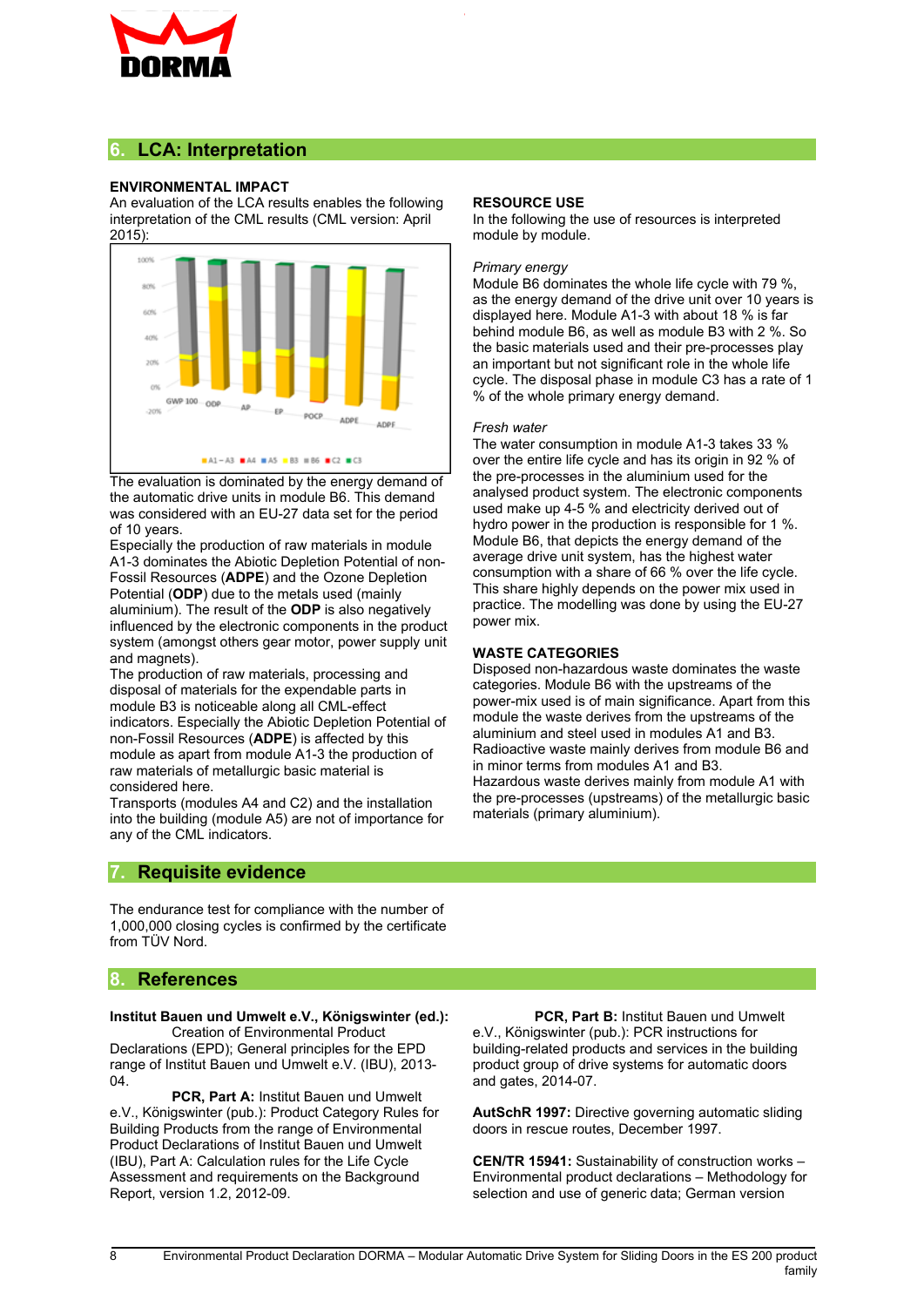

#### **6. LCA: Interpretation**

#### **ENVIRONMENTAL IMPACT**

An evaluation of the LCA results enables the following interpretation of the CML results (CML version: April 2015):



The evaluation is dominated by the energy demand of the automatic drive units in module B6. This demand was considered with an EU-27 data set for the period of 10 years.

Especially the production of raw materials in module A1-3 dominates the Abiotic Depletion Potential of non-Fossil Resources (**ADPE**) and the Ozone Depletion Potential (**ODP**) due to the metals used (mainly aluminium). The result of the **ODP** is also negatively influenced by the electronic components in the product system (amongst others gear motor, power supply unit and magnets).

The production of raw materials, processing and disposal of materials for the expendable parts in module B3 is noticeable along all CML-effect indicators. Especially the Abiotic Depletion Potential of non-Fossil Resources (**ADPE**) is affected by this module as apart from module A1-3 the production of raw materials of metallurgic basic material is considered here.

Transports (modules A4 and C2) and the installation into the building (module A5) are not of importance for any of the CML indicators.

#### **7. Requisite evidence**

The endurance test for compliance with the number of 1,000,000 closing cycles is confirmed by the certificate from TÜV Nord.

#### **8. References**

#### **Institut Bauen und Umwelt e.V., Königswinter (ed.):**

Creation of Environmental Product Declarations (EPD); General principles for the EPD range of Institut Bauen und Umwelt e.V. (IBU), 2013- 04.

**PCR, Part A:** Institut Bauen und Umwelt e.V., Königswinter (pub.): Product Category Rules for Building Products from the range of Environmental Product Declarations of Institut Bauen und Umwelt (IBU), Part A: Calculation rules for the Life Cycle Assessment and requirements on the Background Report, version 1.2, 2012-09.

#### **RESOURCE USE**

In the following the use of resources is interpreted module by module.

#### *Primary energy*

Module B6 dominates the whole life cycle with 79 %, as the energy demand of the drive unit over 10 years is displayed here. Module A1-3 with about 18 % is far behind module B6, as well as module B3 with 2 %. So the basic materials used and their pre-processes play an important but not significant role in the whole life cycle. The disposal phase in module C3 has a rate of 1 % of the whole primary energy demand.

#### *Fresh water*

The water consumption in module A1-3 takes 33 % over the entire life cycle and has its origin in 92 % of the pre-processes in the aluminium used for the analysed product system. The electronic components used make up 4-5 % and electricity derived out of hydro power in the production is responsible for 1 %. Module B6, that depicts the energy demand of the average drive unit system, has the highest water consumption with a share of 66 % over the life cycle. This share highly depends on the power mix used in practice. The modelling was done by using the EU-27 power mix.

#### **WASTE CATEGORIES**

Disposed non-hazardous waste dominates the waste categories. Module B6 with the upstreams of the power-mix used is of main significance. Apart from this module the waste derives from the upstreams of the aluminium and steel used in modules A1 and B3. Radioactive waste mainly derives from module B6 and in minor terms from modules A1 and B3. Hazardous waste derives mainly from module A1 with the pre-processes (upstreams) of the metallurgic basic materials (primary aluminium).

**PCR, Part B:** Institut Bauen und Umwelt e.V., Königswinter (pub.): PCR instructions for building-related products and services in the building product group of drive systems for automatic doors and gates, 2014-07.

**AutSchR 1997:** Directive governing automatic sliding doors in rescue routes, December 1997.

**CEN/TR 15941:** Sustainability of construction works – Environmental product declarations – Methodology for selection and use of generic data; German version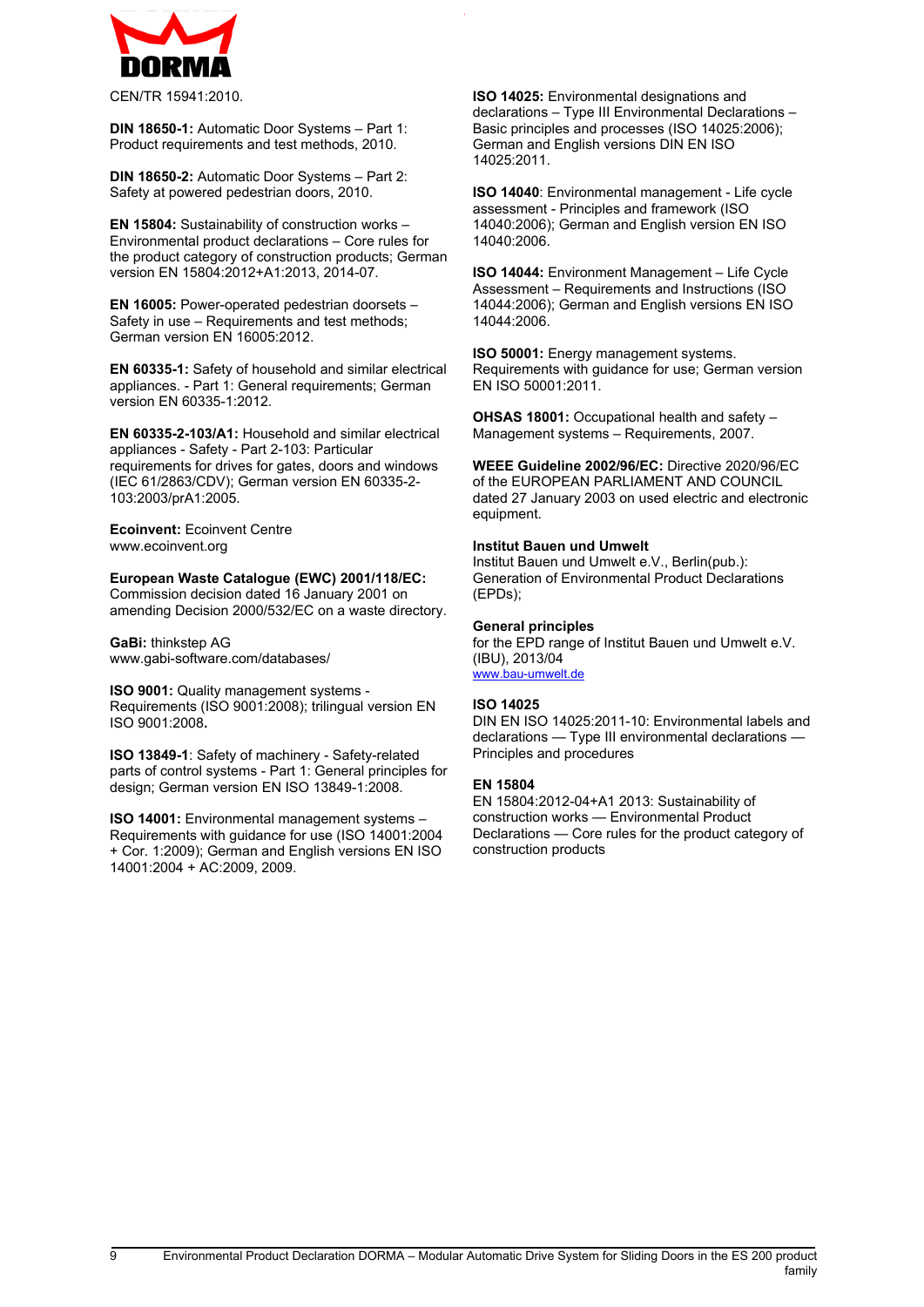$<$  ; 7 % 2 8 +  $3<sup>1</sup>$  $\begin{array}{c} \n \begin{array}{cc} 3 & \text{#} & \text{\$} \n \end{array} \end{array}$  $74$  $\mathfrak{L}$  $, 521$  \$", +<br>\$C  $\begin{array}{c} \text{1} \\ \text{3} \\ \text{4} \end{array}$  ,  $\begin{array}{c} \text{5} \\ \text{1} \end{array}$  $*8$  \$  $8 \t 0 =$  $$ #$  $\overline{4}$  $\overline{9}$  $\ddot{+}$ 8  $, 521$  \$ " # +<br>! 4  $$$  # 8  $\overline{4}$  $, /$  \$ / \$ 8 3<br>8 0 = '  $\overline{9}$  $+$  $\begin{pmatrix} 4 & 1 & 5 \\ 2 & 4 & 1 \end{pmatrix}$  $, 15$  \$  $/ +$  $\mathbb{S}$  $3<sup>1</sup>$  $\ddot{s}$  $8 \t 0 +$  $\frac{1}{2}$  $\leq$  $$ 5 )! 4$  $\mathfrak{s}$  $\alpha = 1$ \$ N 8 19  $\overline{3}$  $/5+$  $1/$  \$ / / + 3 @ ! <4\$ 8 &  $\left( \begin{array}{c} \end{array} \right)$  $80. =$  $\begin{array}{cc} & 3 \end{array}$  $\,$  $2 $ $1+$ <br>! 4<br>! 3  $\lambda$ 8  $\sqrt{ }$  $\sim 0.01$ % C  $8 \t 0 +$  $\equiv$  $\mathbf{0}$  $\mathsf{R}$  $\begin{array}{cccc} 1 \, \$\, \$\, \$\, , + & 9 \, 4 & 9 \, 0 & 0 \, 0 & 0 & 0 \, 0 & 0 & 0 \, 0 & 0 & 0 \, 0 & 0 & 0 \, 0 & 0 & 0 \, 0 & 0 & 0 \, 0 & 0 & 0 \, 0 & 0 & 0 \, 0 & 0 & 0 & 0 \, 0 & 0 & 0 & 0 \, 0 & 0 & 0 & 0 \, 0 & 0 & 0 & 0 \, 0 & 0 & 0 & 0 \, 0 & 0 & 0 & 0 \, 0 & 0 & 0 & 0 \, 0 & 0 & 0$  $3^+$  $\updownarrow$   $\updownarrow$   $\updownarrow$   $\updownarrow$   $\updownarrow$   $\updownarrow$   $\updownarrow$   $\updownarrow$   $\updownarrow$   $\updownarrow$   $\updownarrow$   $\updownarrow$   $\updownarrow$   $\updownarrow$   $\updownarrow$   $\updownarrow$   $\updownarrow$   $\updownarrow$   $\updownarrow$   $\updownarrow$   $\updownarrow$   $\updownarrow$   $\updownarrow$   $\updownarrow$   $\updownarrow$   $\updownarrow$   $\updownarrow$   $\updownarrow$   $\updownarrow$   $\updownarrow$   $\updownarrow$   $\updown$  $2\frac{1}{3}$ ,  $1''$ ,  $+$   $\begin{array}{ccc} 1 & 4 \\ 3 & 0 & 11 \end{array}$ <br>3  $\overline{c}$  $\frac{1}{2}$ 2 \$ . . 1 " # ", \$ .) , +<br>
\$ / ! 4 // 18 \$ \$ \$ & ) 4<br>
C ! ! 3) 9 9 9 -<br>
- < 0 ; 0 1 ; < # . . = 3 0 11 / / ! " % 5 >  $\begin{array}{cccc} & > & ,5\$ \$, \$8, + \$\$ "  $\sim 0$  $\frac{1}{4}$  $59 +$  $\# $ $ $ \# $ 6 2 $ + # $ 3$  $: 20:$  $\overline{4}$  $\mathbf{\hat{s}}$  $\mathsf{C}$  $+$  $+$  \$ 3<br>+ \$ 3 + 1  $\sim$  $\mathbf{3}$  $\&$  $+$ , + 9  $*$  - ( + . 8<br>\$ # \$  $\frac{1}{3}$  $\vert$  ; 9 < #\$\$, ), , 5) + '  $%$  9 ing a  $+$  \$  $0 >$  $\overline{4}$ #  $\cdot$  =  $\therefore$  1  $\therefore$  <  $\mathbf{\hat{S}}$  $4 +$  $%$  $\%$  $-3 +$  $\mathbf{r}$  $\left(\begin{array}{cc} 1 & 1 \\ 1 & 1 \end{array}\right)$  $\star$  $\mathbf{I}$  $+, +$ 3 +<br>+) ( / ! +\$ ; ( ;  $.9$  $1,$  $\overline{4}$  $6 $$ \$, + D  $)4$  $1, 7$ \$#1 %  $C$   $28$  $8^{6} = 3$  $\overline{\phantom{a}}$  $/8$  $8<sup>8</sup>$  $\mathbf{3}$  $\left($  $\begin{array}{ccccc}\n4 & / & & 1 & 4\n\end{array}$ \$ S 74  $\mathbf{3}$ S\$  $\mathbb{S}$  $\Phi$  $, .5/6$  '8, ! 4 \$"  $\begin{array}{ccc} 1 & 2 & 4 \\ 1 & -1 & 3 \end{array}$  $\boldsymbol{\mathsf{S}}$  $\sim 1$  $+ , 15 \$  $1 \quad 2/8$  $($  4  $\frac{1}{2}$  $/ N$ 18 8  $S$  $\begin{matrix} \updownarrow \\ \updownarrow \\ \downarrow \end{matrix}$  $\frac{7}{8}$ ,  $\frac{1}{8}$ ,  $\frac{1}{8}$ ,  $\frac{1}{8}$ ,  $\frac{1}{8}$ <br>  $\frac{1}{8}$ ,  $\frac{1}{8}$ <br>  $\frac{1}{8}$ <br>  $\frac{1}{2}$ ,  $\frac{1}{8}$ <br>  $\frac{1}{2}$ <br>  $\frac{1}{8}$ <br>  $\frac{1}{2}$ <br>  $\frac{1}{8}$ \$  $\frac{3}{1}$   $\frac{1}{1}$  $\overline{4}$ \$ \$  $# S$  $\leq$ S  $$$  $8$  $\hat{\mathbf{r}}$  $\overline{\phantom{a}}$  3  $\hat{\mathcal{F}}$  $\mathbb{S}$  $\left( \begin{array}{c} 1 \end{array} \right)$  $N < 8$  29  $2+$  $8<sup>8</sup>$ 

 $\overline{2}$ 

 $\frac{1}{2}$  3

 $4<sup>1</sup>$ 

 $+$ 

 $\mathbf{I}$ 

 $\ddot{\cdot}$